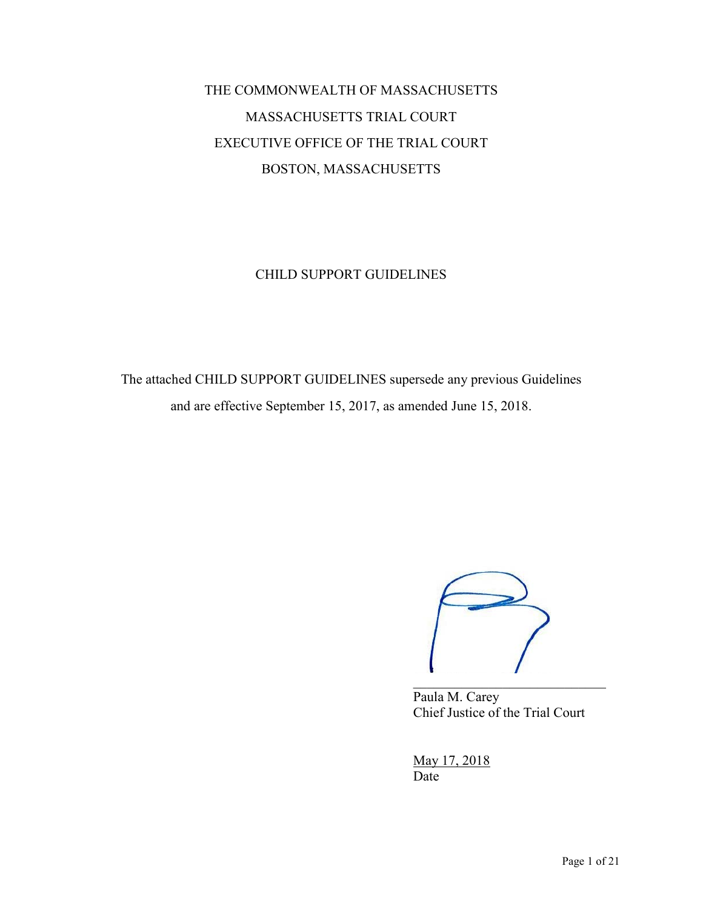# THE COMMONWEALTH OF MASSACHUSETTS MASSACHUSETTS TRIAL COURT EXECUTIVE OFFICE OF THE TRIAL COURT BOSTON, MASSACHUSETTS

# CHILD SUPPORT GUIDELINES

The attached CHILD SUPPORT GUIDELINES supersede any previous Guidelines and are effective September 15, 2017, as amended June 15, 2018.



Paula M. Carey Chief Justice of the Trial Court

May 17, 2018 Date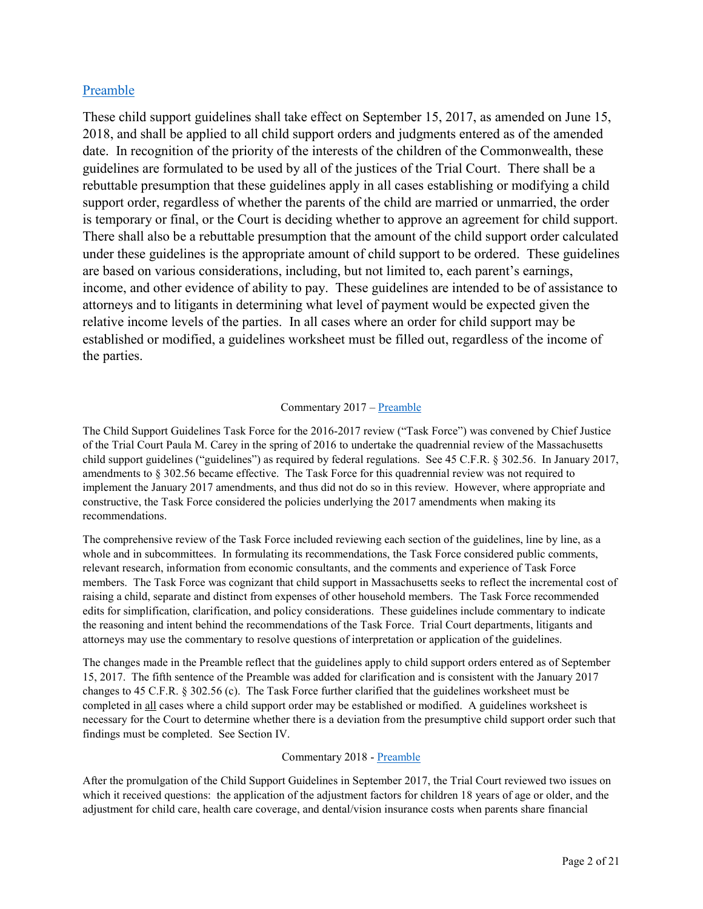### Preamble

These child support guidelines shall take effect on September 15, 2017, as amended on June 15, 2018, and shall be applied to all child support orders and judgments entered as of the amended date. In recognition of the priority of the interests of the children of the Commonwealth, these guidelines are formulated to be used by all of the justices of the Trial Court. There shall be a rebuttable presumption that these guidelines apply in all cases establishing or modifying a child support order, regardless of whether the parents of the child are married or unmarried, the order is temporary or final, or the Court is deciding whether to approve an agreement for child support. There shall also be a rebuttable presumption that the amount of the child support order calculated under these guidelines is the appropriate amount of child support to be ordered. These guidelines are based on various considerations, including, but not limited to, each parent's earnings, income, and other evidence of ability to pay. These guidelines are intended to be of assistance to attorneys and to litigants in determining what level of payment would be expected given the relative income levels of the parties. In all cases where an order for child support may be established or modified, a guidelines worksheet must be filled out, regardless of the income of the parties.

#### Commentary 2017 – Preamble

The Child Support Guidelines Task Force for the 2016-2017 review ("Task Force") was convened by Chief Justice of the Trial Court Paula M. Carey in the spring of 2016 to undertake the quadrennial review of the Massachusetts child support guidelines ("guidelines") as required by federal regulations. See 45 C.F.R. § 302.56. In January 2017, amendments to § 302.56 became effective. The Task Force for this quadrennial review was not required to implement the January 2017 amendments, and thus did not do so in this review. However, where appropriate and constructive, the Task Force considered the policies underlying the 2017 amendments when making its recommendations.

The comprehensive review of the Task Force included reviewing each section of the guidelines, line by line, as a whole and in subcommittees. In formulating its recommendations, the Task Force considered public comments, relevant research, information from economic consultants, and the comments and experience of Task Force members. The Task Force was cognizant that child support in Massachusetts seeks to reflect the incremental cost of raising a child, separate and distinct from expenses of other household members. The Task Force recommended edits for simplification, clarification, and policy considerations. These guidelines include commentary to indicate the reasoning and intent behind the recommendations of the Task Force. Trial Court departments, litigants and attorneys may use the commentary to resolve questions of interpretation or application of the guidelines.

The changes made in the Preamble reflect that the guidelines apply to child support orders entered as of September 15, 2017. The fifth sentence of the Preamble was added for clarification and is consistent with the January 2017 changes to 45 C.F.R. § 302.56 (c). The Task Force further clarified that the guidelines worksheet must be completed in all cases where a child support order may be established or modified. A guidelines worksheet is necessary for the Court to determine whether there is a deviation from the presumptive child support order such that findings must be completed. See Section IV.

#### Commentary 2018 - Preamble

After the promulgation of the Child Support Guidelines in September 2017, the Trial Court reviewed two issues on which it received questions: the application of the adjustment factors for children 18 years of age or older, and the adjustment for child care, health care coverage, and dental/vision insurance costs when parents share financial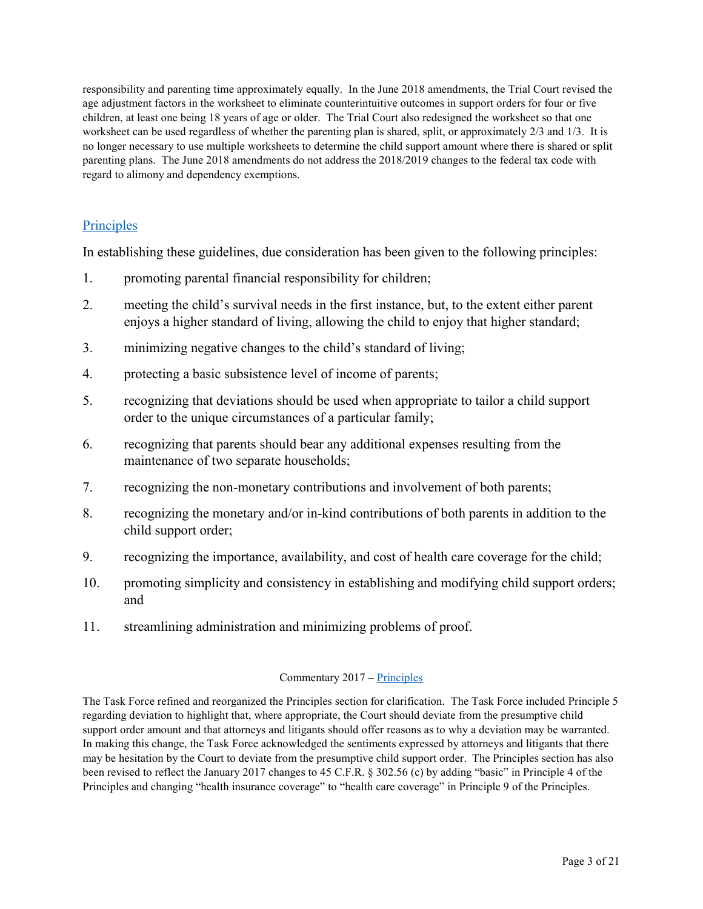responsibility and parenting time approximately equally. In the June 2018 amendments, the Trial Court revised the age adjustment factors in the worksheet to eliminate counterintuitive outcomes in support orders for four or five children, at least one being 18 years of age or older. The Trial Court also redesigned the worksheet so that one worksheet can be used regardless of whether the parenting plan is shared, split, or approximately 2/3 and 1/3. It is no longer necessary to use multiple worksheets to determine the child support amount where there is shared or split parenting plans. The June 2018 amendments do not address the 2018/2019 changes to the federal tax code with regard to alimony and dependency exemptions.

### **Principles**

In establishing these guidelines, due consideration has been given to the following principles:

- 1. promoting parental financial responsibility for children;
- 2. meeting the child's survival needs in the first instance, but, to the extent either parent enjoys a higher standard of living, allowing the child to enjoy that higher standard;
- 3. minimizing negative changes to the child's standard of living;
- 4. protecting a basic subsistence level of income of parents;
- 5. recognizing that deviations should be used when appropriate to tailor a child support order to the unique circumstances of a particular family;
- 6. recognizing that parents should bear any additional expenses resulting from the maintenance of two separate households;
- 7. recognizing the non-monetary contributions and involvement of both parents;
- 8. recognizing the monetary and/or in-kind contributions of both parents in addition to the child support order;
- 9. recognizing the importance, availability, and cost of health care coverage for the child;
- 10. promoting simplicity and consistency in establishing and modifying child support orders; and
- 11. streamlining administration and minimizing problems of proof.

### Commentary 2017 – Principles

The Task Force refined and reorganized the Principles section for clarification. The Task Force included Principle 5 regarding deviation to highlight that, where appropriate, the Court should deviate from the presumptive child support order amount and that attorneys and litigants should offer reasons as to why a deviation may be warranted. In making this change, the Task Force acknowledged the sentiments expressed by attorneys and litigants that there may be hesitation by the Court to deviate from the presumptive child support order. The Principles section has also been revised to reflect the January 2017 changes to 45 C.F.R. § 302.56 (c) by adding "basic" in Principle 4 of the Principles and changing "health insurance coverage" to "health care coverage" in Principle 9 of the Principles.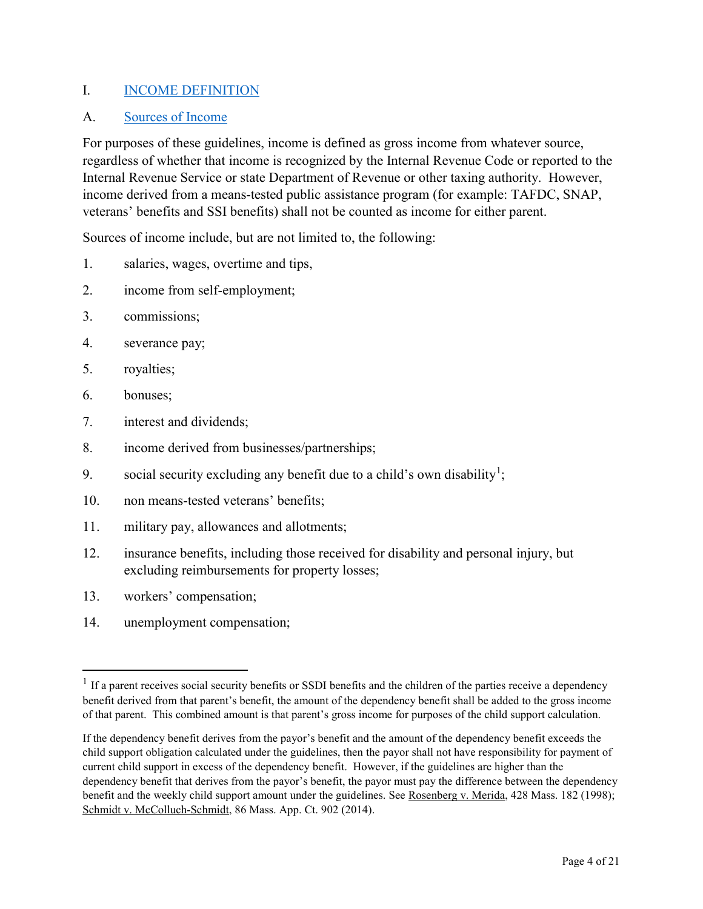# I. INCOME DEFINITION

### A. Sources of Income

For purposes of these guidelines, income is defined as gross income from whatever source, regardless of whether that income is recognized by the Internal Revenue Code or reported to the Internal Revenue Service or state Department of Revenue or other taxing authority. However, income derived from a means-tested public assistance program (for example: TAFDC, SNAP, veterans' benefits and SSI benefits) shall not be counted as income for either parent.

Sources of income include, but are not limited to, the following:

- 1. salaries, wages, overtime and tips,
- 2. income from self-employment;
- 3. commissions;
- 4. severance pay;
- 5. royalties;
- 6. bonuses;
- 7. interest and dividends;
- 8. income derived from businesses/partnerships;
- 9. social security excluding any benefit due to a child's own disability<sup>1</sup>;
- 10. non means-tested veterans' benefits;
- 11. military pay, allowances and allotments;
- 12. insurance benefits, including those received for disability and personal injury, but excluding reimbursements for property losses;
- 13. workers' compensation;
- 14. unemployment compensation;

<sup>&</sup>lt;sup>1</sup> If a parent receives social security benefits or SSDI benefits and the children of the parties receive a dependency benefit derived from that parent's benefit, the amount of the dependency benefit shall be added to the gross income of that parent. This combined amount is that parent's gross income for purposes of the child support calculation.

If the dependency benefit derives from the payor's benefit and the amount of the dependency benefit exceeds the child support obligation calculated under the guidelines, then the payor shall not have responsibility for payment of current child support in excess of the dependency benefit. However, if the guidelines are higher than the dependency benefit that derives from the payor's benefit, the payor must pay the difference between the dependency benefit and the weekly child support amount under the guidelines. See Rosenberg v. Merida, 428 Mass. 182 (1998); Schmidt v. McColluch-Schmidt, 86 Mass. App. Ct. 902 (2014).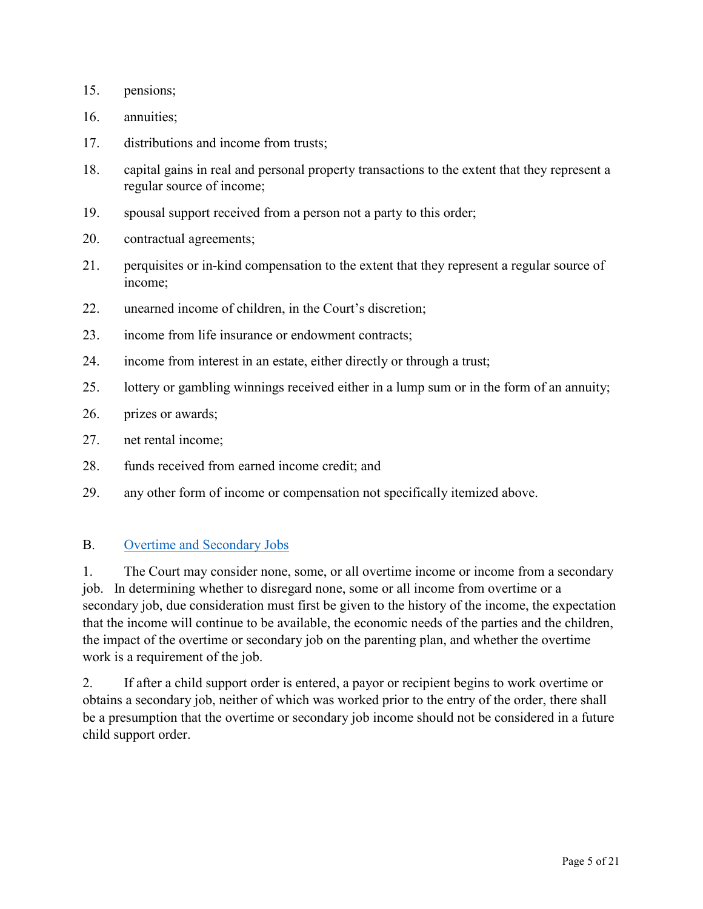- 15. pensions;
- 16. annuities;
- 17. distributions and income from trusts;
- 18. capital gains in real and personal property transactions to the extent that they represent a regular source of income;
- 19. spousal support received from a person not a party to this order;
- 20. contractual agreements;
- 21. perquisites or in-kind compensation to the extent that they represent a regular source of income;
- 22. unearned income of children, in the Court's discretion;
- 23. income from life insurance or endowment contracts;
- 24. income from interest in an estate, either directly or through a trust;
- 25. lottery or gambling winnings received either in a lump sum or in the form of an annuity;
- 26. prizes or awards;
- 27. net rental income;
- 28. funds received from earned income credit; and
- 29. any other form of income or compensation not specifically itemized above.

### B. Overtime and Secondary Jobs

1. The Court may consider none, some, or all overtime income or income from a secondary job. In determining whether to disregard none, some or all income from overtime or a secondary job, due consideration must first be given to the history of the income, the expectation that the income will continue to be available, the economic needs of the parties and the children, the impact of the overtime or secondary job on the parenting plan, and whether the overtime work is a requirement of the job.

2. If after a child support order is entered, a payor or recipient begins to work overtime or obtains a secondary job, neither of which was worked prior to the entry of the order, there shall be a presumption that the overtime or secondary job income should not be considered in a future child support order.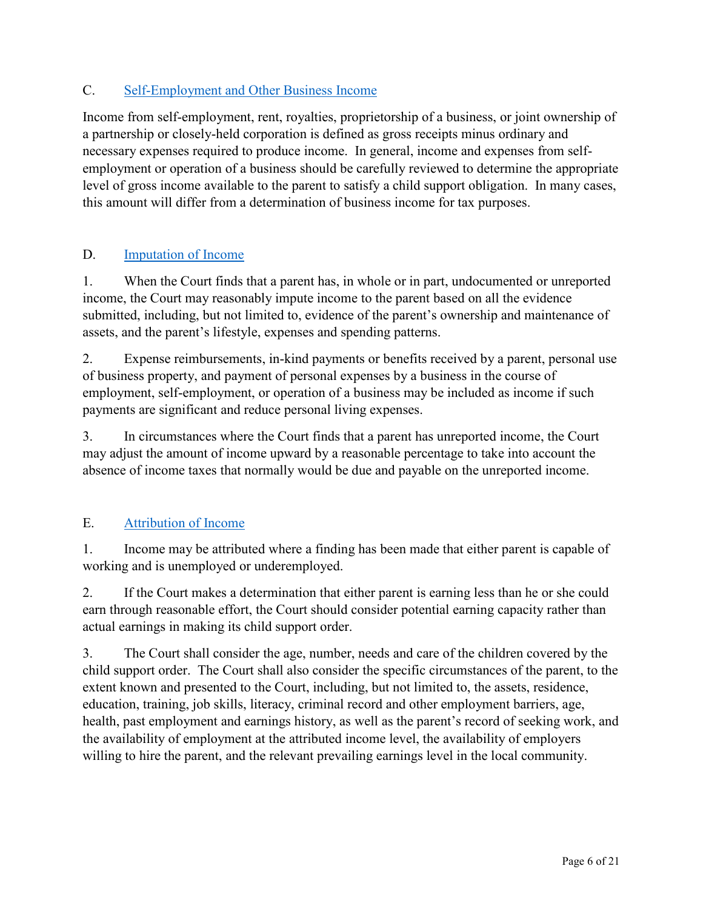# C. Self-Employment and Other Business Income

Income from self-employment, rent, royalties, proprietorship of a business, or joint ownership of a partnership or closely-held corporation is defined as gross receipts minus ordinary and necessary expenses required to produce income. In general, income and expenses from selfemployment or operation of a business should be carefully reviewed to determine the appropriate level of gross income available to the parent to satisfy a child support obligation. In many cases, this amount will differ from a determination of business income for tax purposes.

### D. Imputation of Income

1. When the Court finds that a parent has, in whole or in part, undocumented or unreported income, the Court may reasonably impute income to the parent based on all the evidence submitted, including, but not limited to, evidence of the parent's ownership and maintenance of assets, and the parent's lifestyle, expenses and spending patterns.

2. Expense reimbursements, in-kind payments or benefits received by a parent, personal use of business property, and payment of personal expenses by a business in the course of employment, self-employment, or operation of a business may be included as income if such payments are significant and reduce personal living expenses.

3. In circumstances where the Court finds that a parent has unreported income, the Court may adjust the amount of income upward by a reasonable percentage to take into account the absence of income taxes that normally would be due and payable on the unreported income.

### E. Attribution of Income

1. Income may be attributed where a finding has been made that either parent is capable of working and is unemployed or underemployed.

2. If the Court makes a determination that either parent is earning less than he or she could earn through reasonable effort, the Court should consider potential earning capacity rather than actual earnings in making its child support order.

3. The Court shall consider the age, number, needs and care of the children covered by the child support order. The Court shall also consider the specific circumstances of the parent, to the extent known and presented to the Court, including, but not limited to, the assets, residence, education, training, job skills, literacy, criminal record and other employment barriers, age, health, past employment and earnings history, as well as the parent's record of seeking work, and the availability of employment at the attributed income level, the availability of employers willing to hire the parent, and the relevant prevailing earnings level in the local community.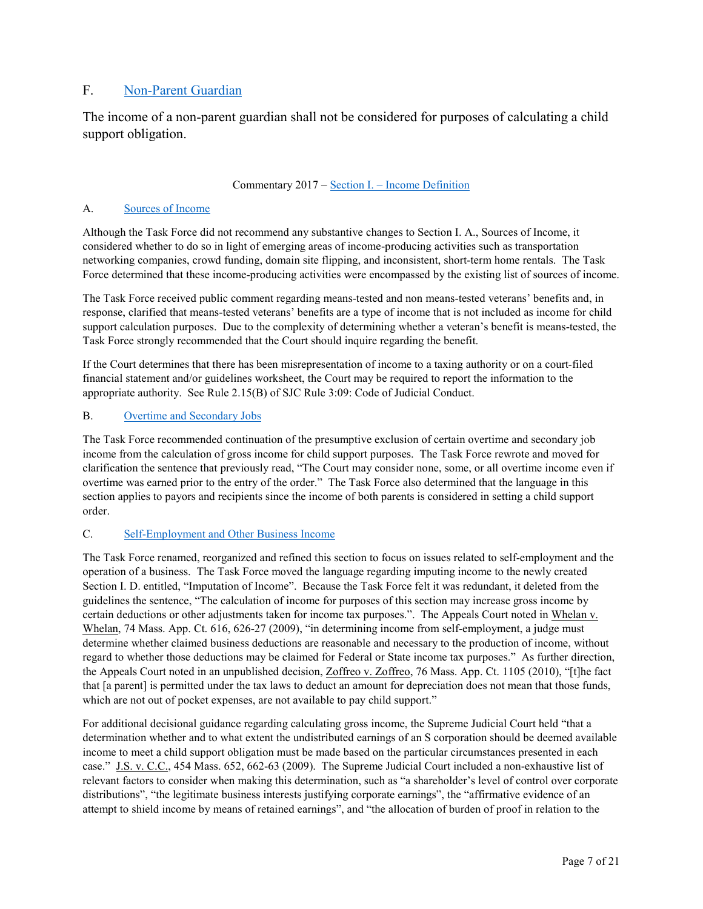### F. Non-Parent Guardian

The income of a non-parent guardian shall not be considered for purposes of calculating a child support obligation.

#### Commentary 2017 – Section I. – Income Definition

#### A. Sources of Income

Although the Task Force did not recommend any substantive changes to Section I. A., Sources of Income, it considered whether to do so in light of emerging areas of income-producing activities such as transportation networking companies, crowd funding, domain site flipping, and inconsistent, short-term home rentals. The Task Force determined that these income-producing activities were encompassed by the existing list of sources of income.

The Task Force received public comment regarding means-tested and non means-tested veterans' benefits and, in response, clarified that means-tested veterans' benefits are a type of income that is not included as income for child support calculation purposes. Due to the complexity of determining whether a veteran's benefit is means-tested, the Task Force strongly recommended that the Court should inquire regarding the benefit.

If the Court determines that there has been misrepresentation of income to a taxing authority or on a court-filed financial statement and/or guidelines worksheet, the Court may be required to report the information to the appropriate authority. See Rule 2.15(B) of SJC Rule 3:09: Code of Judicial Conduct.

#### B. Overtime and Secondary Jobs

The Task Force recommended continuation of the presumptive exclusion of certain overtime and secondary job income from the calculation of gross income for child support purposes. The Task Force rewrote and moved for clarification the sentence that previously read, "The Court may consider none, some, or all overtime income even if overtime was earned prior to the entry of the order." The Task Force also determined that the language in this section applies to payors and recipients since the income of both parents is considered in setting a child support order.

#### C. Self-Employment and Other Business Income

The Task Force renamed, reorganized and refined this section to focus on issues related to self-employment and the operation of a business. The Task Force moved the language regarding imputing income to the newly created Section I. D. entitled, "Imputation of Income". Because the Task Force felt it was redundant, it deleted from the guidelines the sentence, "The calculation of income for purposes of this section may increase gross income by certain deductions or other adjustments taken for income tax purposes.". The Appeals Court noted in Whelan v. Whelan, 74 Mass. App. Ct. 616, 626-27 (2009), "in determining income from self-employment, a judge must determine whether claimed business deductions are reasonable and necessary to the production of income, without regard to whether those deductions may be claimed for Federal or State income tax purposes." As further direction, the Appeals Court noted in an unpublished decision, Zoffreo v. Zoffreo, 76 Mass. App. Ct. 1105 (2010), "[t]he fact that [a parent] is permitted under the tax laws to deduct an amount for depreciation does not mean that those funds, which are not out of pocket expenses, are not available to pay child support."

For additional decisional guidance regarding calculating gross income, the Supreme Judicial Court held "that a determination whether and to what extent the undistributed earnings of an S corporation should be deemed available income to meet a child support obligation must be made based on the particular circumstances presented in each case." J.S. v. C.C., 454 Mass. 652, 662-63 (2009). The Supreme Judicial Court included a non-exhaustive list of relevant factors to consider when making this determination, such as "a shareholder's level of control over corporate distributions", "the legitimate business interests justifying corporate earnings", the "affirmative evidence of an attempt to shield income by means of retained earnings", and "the allocation of burden of proof in relation to the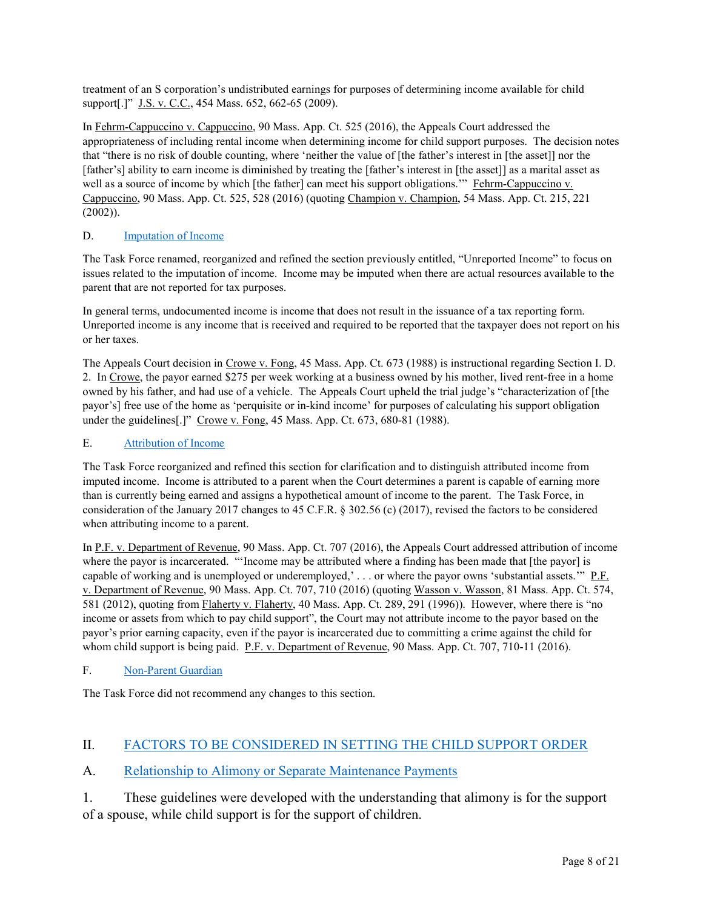treatment of an S corporation's undistributed earnings for purposes of determining income available for child support[.]" J.S. v. C.C., 454 Mass. 652, 662-65 (2009).

In Fehrm-Cappuccino v. Cappuccino, 90 Mass. App. Ct. 525 (2016), the Appeals Court addressed the appropriateness of including rental income when determining income for child support purposes. The decision notes that "there is no risk of double counting, where 'neither the value of [the father's interest in [the asset]] nor the [father's] ability to earn income is diminished by treating the [father's interest in [the asset]] as a marital asset as well as a source of income by which [the father] can meet his support obligations." Fehrm-Cappuccino v. Cappuccino, 90 Mass. App. Ct. 525, 528 (2016) (quoting Champion v. Champion, 54 Mass. App. Ct. 215, 221  $(2002)$ ).

### D. Imputation of Income

The Task Force renamed, reorganized and refined the section previously entitled, "Unreported Income" to focus on issues related to the imputation of income. Income may be imputed when there are actual resources available to the parent that are not reported for tax purposes.

In general terms, undocumented income is income that does not result in the issuance of a tax reporting form. Unreported income is any income that is received and required to be reported that the taxpayer does not report on his or her taxes.

The Appeals Court decision in Crowe v. Fong, 45 Mass. App. Ct. 673 (1988) is instructional regarding Section I. D. 2. In Crowe, the payor earned \$275 per week working at a business owned by his mother, lived rent-free in a home owned by his father, and had use of a vehicle. The Appeals Court upheld the trial judge's "characterization of [the payor's] free use of the home as 'perquisite or in-kind income' for purposes of calculating his support obligation under the guidelines[.]" Crowe v. Fong, 45 Mass. App. Ct. 673, 680-81 (1988).

#### E. Attribution of Income

The Task Force reorganized and refined this section for clarification and to distinguish attributed income from imputed income. Income is attributed to a parent when the Court determines a parent is capable of earning more than is currently being earned and assigns a hypothetical amount of income to the parent. The Task Force, in consideration of the January 2017 changes to 45 C.F.R. § 302.56 (c) (2017), revised the factors to be considered when attributing income to a parent.

In P.F. v. Department of Revenue, 90 Mass. App. Ct. 707 (2016), the Appeals Court addressed attribution of income where the payor is incarcerated. "'Income may be attributed where a finding has been made that [the payor] is capable of working and is unemployed or underemployed,' . . . or where the payor owns 'substantial assets.'" P.F. v. Department of Revenue, 90 Mass. App. Ct. 707, 710 (2016) (quoting Wasson v. Wasson, 81 Mass. App. Ct. 574, 581 (2012), quoting from Flaherty v. Flaherty, 40 Mass. App. Ct. 289, 291 (1996)). However, where there is "no income or assets from which to pay child support", the Court may not attribute income to the payor based on the payor's prior earning capacity, even if the payor is incarcerated due to committing a crime against the child for whom child support is being paid. P.F. v. Department of Revenue, 90 Mass. App. Ct. 707, 710-11 (2016).

#### F. Non-Parent Guardian

The Task Force did not recommend any changes to this section.

### II. FACTORS TO BE CONSIDERED IN SETTING THE CHILD SUPPORT ORDER

### A. Relationship to Alimony or Separate Maintenance Payments

1. These guidelines were developed with the understanding that alimony is for the support of a spouse, while child support is for the support of children.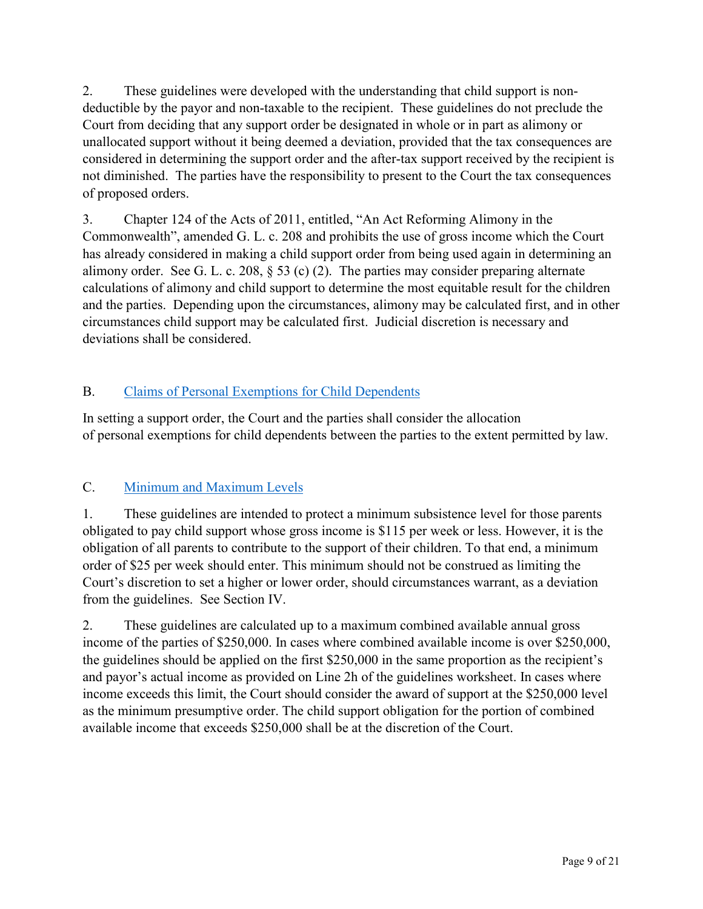2. These guidelines were developed with the understanding that child support is nondeductible by the payor and non-taxable to the recipient. These guidelines do not preclude the Court from deciding that any support order be designated in whole or in part as alimony or unallocated support without it being deemed a deviation, provided that the tax consequences are considered in determining the support order and the after-tax support received by the recipient is not diminished. The parties have the responsibility to present to the Court the tax consequences of proposed orders.

3. Chapter 124 of the Acts of 2011, entitled, "An Act Reforming Alimony in the Commonwealth", amended G. L. c. 208 and prohibits the use of gross income which the Court has already considered in making a child support order from being used again in determining an alimony order. See G. L. c. 208,  $\S$  53 (c) (2). The parties may consider preparing alternate calculations of alimony and child support to determine the most equitable result for the children and the parties. Depending upon the circumstances, alimony may be calculated first, and in other circumstances child support may be calculated first. Judicial discretion is necessary and deviations shall be considered.

# B. Claims of Personal Exemptions for Child Dependents

In setting a support order, the Court and the parties shall consider the allocation of personal exemptions for child dependents between the parties to the extent permitted by law.

# C. Minimum and Maximum Levels

1. These guidelines are intended to protect a minimum subsistence level for those parents obligated to pay child support whose gross income is \$115 per week or less. However, it is the obligation of all parents to contribute to the support of their children. To that end, a minimum order of \$25 per week should enter. This minimum should not be construed as limiting the Court's discretion to set a higher or lower order, should circumstances warrant, as a deviation from the guidelines. See Section IV.

2. These guidelines are calculated up to a maximum combined available annual gross income of the parties of \$250,000. In cases where combined available income is over \$250,000, the guidelines should be applied on the first \$250,000 in the same proportion as the recipient's and payor's actual income as provided on Line 2h of the guidelines worksheet. In cases where income exceeds this limit, the Court should consider the award of support at the \$250,000 level as the minimum presumptive order. The child support obligation for the portion of combined available income that exceeds \$250,000 shall be at the discretion of the Court.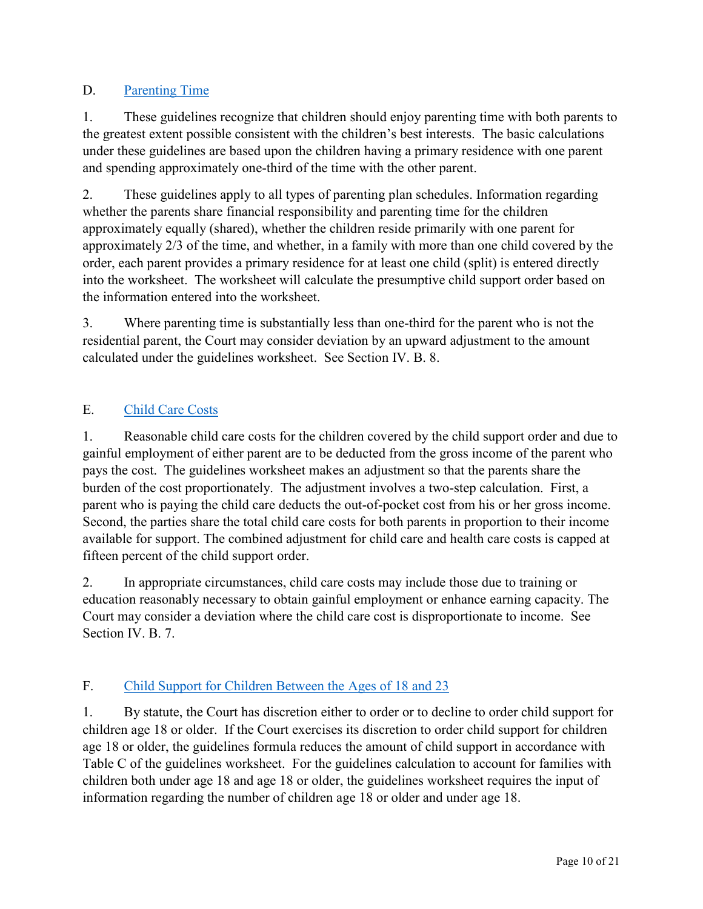# D. Parenting Time

1. These guidelines recognize that children should enjoy parenting time with both parents to the greatest extent possible consistent with the children's best interests. The basic calculations under these guidelines are based upon the children having a primary residence with one parent and spending approximately one-third of the time with the other parent.

2. These guidelines apply to all types of parenting plan schedules. Information regarding whether the parents share financial responsibility and parenting time for the children approximately equally (shared), whether the children reside primarily with one parent for approximately 2/3 of the time, and whether, in a family with more than one child covered by the order, each parent provides a primary residence for at least one child (split) is entered directly into the worksheet. The worksheet will calculate the presumptive child support order based on the information entered into the worksheet.

3. Where parenting time is substantially less than one-third for the parent who is not the residential parent, the Court may consider deviation by an upward adjustment to the amount calculated under the guidelines worksheet. See Section IV. B. 8.

# E. Child Care Costs

1. Reasonable child care costs for the children covered by the child support order and due to gainful employment of either parent are to be deducted from the gross income of the parent who pays the cost. The guidelines worksheet makes an adjustment so that the parents share the burden of the cost proportionately. The adjustment involves a two-step calculation. First, a parent who is paying the child care deducts the out-of-pocket cost from his or her gross income. Second, the parties share the total child care costs for both parents in proportion to their income available for support. The combined adjustment for child care and health care costs is capped at fifteen percent of the child support order.

2. In appropriate circumstances, child care costs may include those due to training or education reasonably necessary to obtain gainful employment or enhance earning capacity. The Court may consider a deviation where the child care cost is disproportionate to income. See Section IV. B. 7.

# F. Child Support for Children Between the Ages of 18 and 23

1. By statute, the Court has discretion either to order or to decline to order child support for children age 18 or older. If the Court exercises its discretion to order child support for children age 18 or older, the guidelines formula reduces the amount of child support in accordance with Table C of the guidelines worksheet. For the guidelines calculation to account for families with children both under age 18 and age 18 or older, the guidelines worksheet requires the input of information regarding the number of children age 18 or older and under age 18.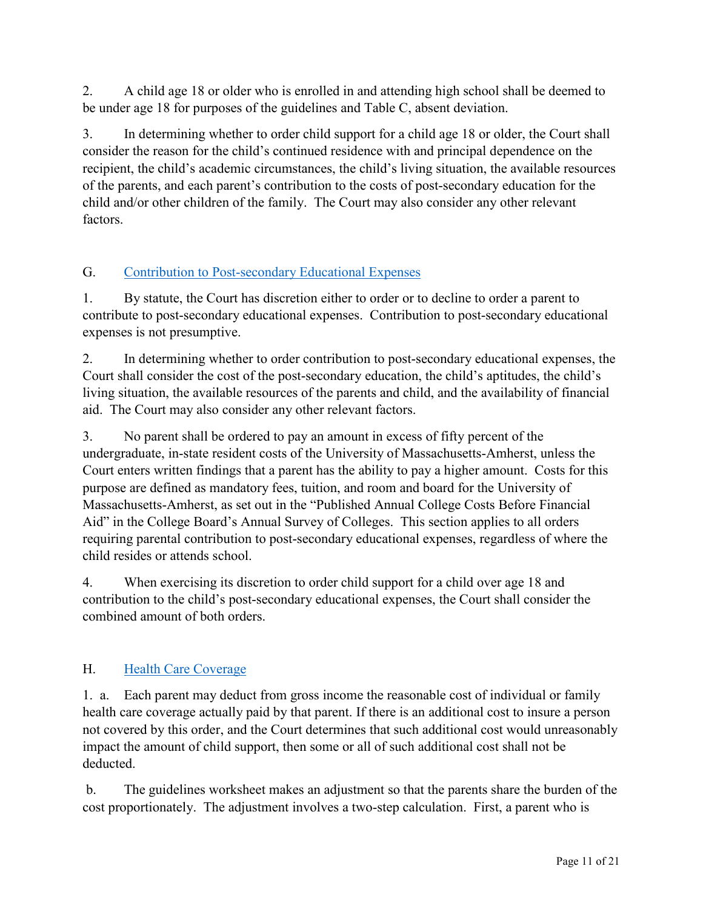2. A child age 18 or older who is enrolled in and attending high school shall be deemed to be under age 18 for purposes of the guidelines and Table C, absent deviation.

3. In determining whether to order child support for a child age 18 or older, the Court shall consider the reason for the child's continued residence with and principal dependence on the recipient, the child's academic circumstances, the child's living situation, the available resources of the parents, and each parent's contribution to the costs of post-secondary education for the child and/or other children of the family. The Court may also consider any other relevant factors.

# G. Contribution to Post-secondary Educational Expenses

1. By statute, the Court has discretion either to order or to decline to order a parent to contribute to post-secondary educational expenses. Contribution to post-secondary educational expenses is not presumptive.

2. In determining whether to order contribution to post-secondary educational expenses, the Court shall consider the cost of the post-secondary education, the child's aptitudes, the child's living situation, the available resources of the parents and child, and the availability of financial aid. The Court may also consider any other relevant factors.

3. No parent shall be ordered to pay an amount in excess of fifty percent of the undergraduate, in-state resident costs of the University of Massachusetts-Amherst, unless the Court enters written findings that a parent has the ability to pay a higher amount. Costs for this purpose are defined as mandatory fees, tuition, and room and board for the University of Massachusetts-Amherst, as set out in the "Published Annual College Costs Before Financial Aid" in the College Board's Annual Survey of Colleges. This section applies to all orders requiring parental contribution to post-secondary educational expenses, regardless of where the child resides or attends school.

4. When exercising its discretion to order child support for a child over age 18 and contribution to the child's post-secondary educational expenses, the Court shall consider the combined amount of both orders.

# H. Health Care Coverage

1. a. Each parent may deduct from gross income the reasonable cost of individual or family health care coverage actually paid by that parent. If there is an additional cost to insure a person not covered by this order, and the Court determines that such additional cost would unreasonably impact the amount of child support, then some or all of such additional cost shall not be deducted.

b. The guidelines worksheet makes an adjustment so that the parents share the burden of the cost proportionately. The adjustment involves a two-step calculation. First, a parent who is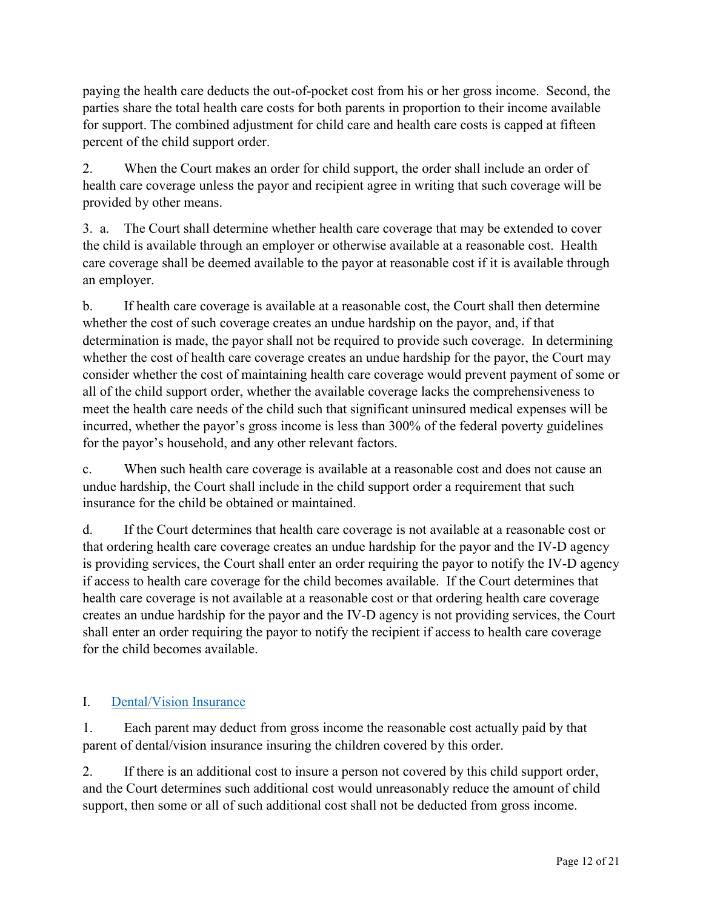paying the health care deducts the out-of-pocket cost from his or her gross income. Second, the parties share the total health care costs for both parents in proportion to their income available for support. The combined adjustment for child care and health care costs is capped at fifteen percent of the child support order.

2. When the Court makes an order for child support, the order shall include an order of health care coverage unless the payor and recipient agree in writing that such coverage will be provided by other means.

3. a. The Court shall determine whether health care coverage that may be extended to cover the child is available through an employer or otherwise available at a reasonable cost. Health care coverage shall be deemed available to the payor at reasonable cost if it is available through an employer.

b. If health care coverage is available at a reasonable cost, the Court shall then determine whether the cost of such coverage creates an undue hardship on the payor, and, if that determination is made, the payor shall not be required to provide such coverage. In determining whether the cost of health care coverage creates an undue hardship for the payor, the Court may consider whether the cost of maintaining health care coverage would prevent payment of some or all of the child support order, whether the available coverage lacks the comprehensiveness to meet the health care needs of the child such that significant uninsured medical expenses will be incurred, whether the payor's gross income is less than 300% of the federal poverty guidelines for the payor's household, and any other relevant factors.

c. When such health care coverage is available at a reasonable cost and does not cause an undue hardship, the Court shall include in the child support order a requirement that such insurance for the child be obtained or maintained.

d. If the Court determines that health care coverage is not available at a reasonable cost or that ordering health care coverage creates an undue hardship for the payor and the IV-D agency is providing services, the Court shall enter an order requiring the payor to notify the IV-D agency if access to health care coverage for the child becomes available. If the Court determines that health care coverage is not available at a reasonable cost or that ordering health care coverage creates an undue hardship for the payor and the IV-D agency is not providing services, the Court shall enter an order requiring the payor to notify the recipient if access to health care coverage for the child becomes available.

# I. Dental/Vision Insurance

1. Each parent may deduct from gross income the reasonable cost actually paid by that parent of dental/vision insurance insuring the children covered by this order.

2. If there is an additional cost to insure a person not covered by this child support order, and the Court determines such additional cost would unreasonably reduce the amount of child support, then some or all of such additional cost shall not be deducted from gross income.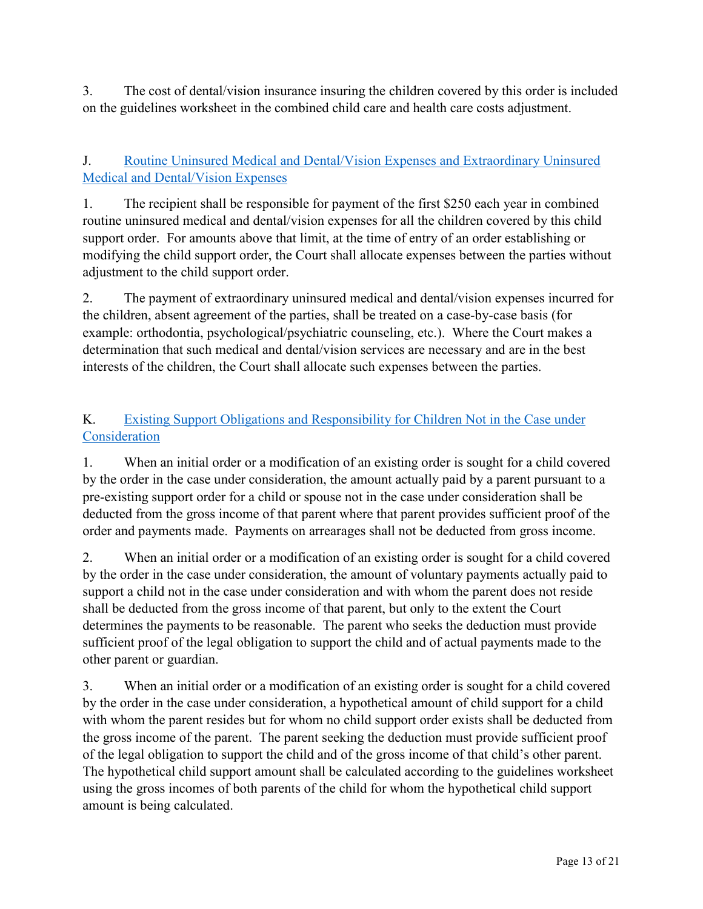3. The cost of dental/vision insurance insuring the children covered by this order is included on the guidelines worksheet in the combined child care and health care costs adjustment.

# J. Routine Uninsured Medical and Dental/Vision Expenses and Extraordinary Uninsured Medical and Dental/Vision Expenses

1. The recipient shall be responsible for payment of the first \$250 each year in combined routine uninsured medical and dental/vision expenses for all the children covered by this child support order. For amounts above that limit, at the time of entry of an order establishing or modifying the child support order, the Court shall allocate expenses between the parties without adjustment to the child support order.

2. The payment of extraordinary uninsured medical and dental/vision expenses incurred for the children, absent agreement of the parties, shall be treated on a case-by-case basis (for example: orthodontia, psychological/psychiatric counseling, etc.). Where the Court makes a determination that such medical and dental/vision services are necessary and are in the best interests of the children, the Court shall allocate such expenses between the parties.

# K. Existing Support Obligations and Responsibility for Children Not in the Case under **Consideration**

1. When an initial order or a modification of an existing order is sought for a child covered by the order in the case under consideration, the amount actually paid by a parent pursuant to a pre-existing support order for a child or spouse not in the case under consideration shall be deducted from the gross income of that parent where that parent provides sufficient proof of the order and payments made. Payments on arrearages shall not be deducted from gross income.

2. When an initial order or a modification of an existing order is sought for a child covered by the order in the case under consideration, the amount of voluntary payments actually paid to support a child not in the case under consideration and with whom the parent does not reside shall be deducted from the gross income of that parent, but only to the extent the Court determines the payments to be reasonable. The parent who seeks the deduction must provide sufficient proof of the legal obligation to support the child and of actual payments made to the other parent or guardian.

3. When an initial order or a modification of an existing order is sought for a child covered by the order in the case under consideration, a hypothetical amount of child support for a child with whom the parent resides but for whom no child support order exists shall be deducted from the gross income of the parent. The parent seeking the deduction must provide sufficient proof of the legal obligation to support the child and of the gross income of that child's other parent. The hypothetical child support amount shall be calculated according to the guidelines worksheet using the gross incomes of both parents of the child for whom the hypothetical child support amount is being calculated.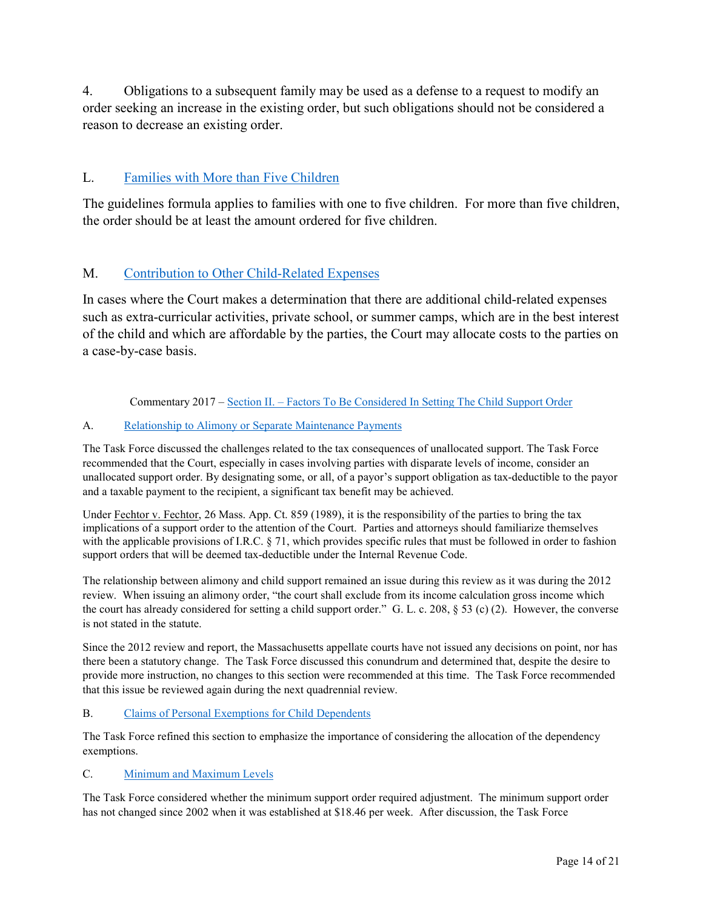4. Obligations to a subsequent family may be used as a defense to a request to modify an order seeking an increase in the existing order, but such obligations should not be considered a reason to decrease an existing order.

# L. Families with More than Five Children

The guidelines formula applies to families with one to five children. For more than five children, the order should be at least the amount ordered for five children.

### M. Contribution to Other Child-Related Expenses

In cases where the Court makes a determination that there are additional child-related expenses such as extra-curricular activities, private school, or summer camps, which are in the best interest of the child and which are affordable by the parties, the Court may allocate costs to the parties on a case-by-case basis.

### Commentary 2017 – Section II. – Factors To Be Considered In Setting The Child Support Order

### A. Relationship to Alimony or Separate Maintenance Payments

The Task Force discussed the challenges related to the tax consequences of unallocated support. The Task Force recommended that the Court, especially in cases involving parties with disparate levels of income, consider an unallocated support order. By designating some, or all, of a payor's support obligation as tax-deductible to the payor and a taxable payment to the recipient, a significant tax benefit may be achieved.

Under Fechtor v. Fechtor, 26 Mass. App. Ct. 859 (1989), it is the responsibility of the parties to bring the tax implications of a support order to the attention of the Court. Parties and attorneys should familiarize themselves with the applicable provisions of I.R.C. § 71, which provides specific rules that must be followed in order to fashion support orders that will be deemed tax-deductible under the Internal Revenue Code.

The relationship between alimony and child support remained an issue during this review as it was during the 2012 review. When issuing an alimony order, "the court shall exclude from its income calculation gross income which the court has already considered for setting a child support order." G. L. c. 208, § 53 (c) (2). However, the converse is not stated in the statute.

Since the 2012 review and report, the Massachusetts appellate courts have not issued any decisions on point, nor has there been a statutory change. The Task Force discussed this conundrum and determined that, despite the desire to provide more instruction, no changes to this section were recommended at this time. The Task Force recommended that this issue be reviewed again during the next quadrennial review.

### B. Claims of Personal Exemptions for Child Dependents

The Task Force refined this section to emphasize the importance of considering the allocation of the dependency exemptions.

### C. Minimum and Maximum Levels

The Task Force considered whether the minimum support order required adjustment. The minimum support order has not changed since 2002 when it was established at \$18.46 per week. After discussion, the Task Force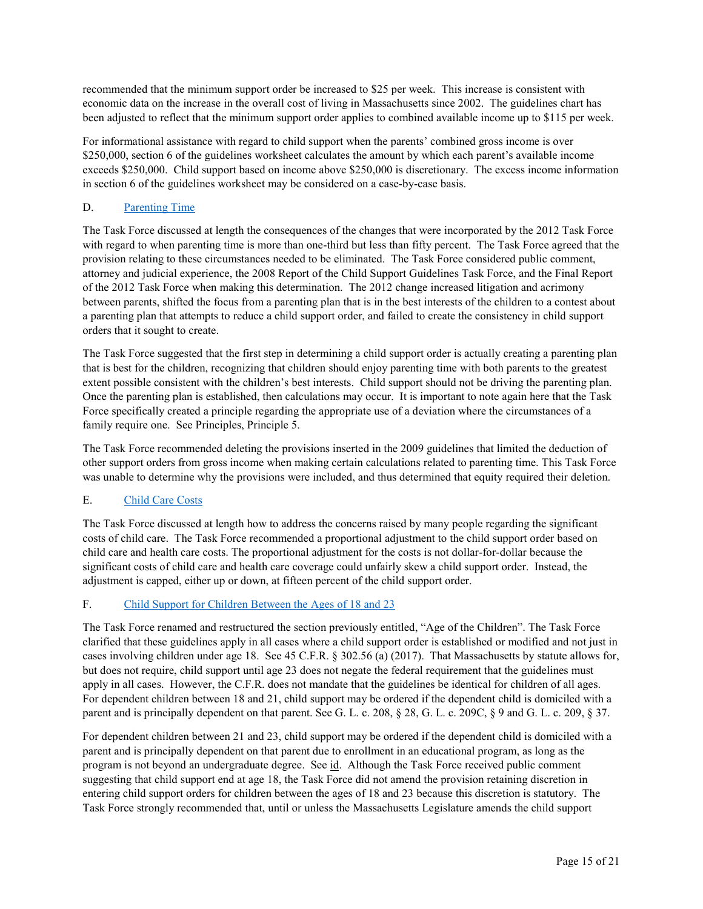recommended that the minimum support order be increased to \$25 per week. This increase is consistent with economic data on the increase in the overall cost of living in Massachusetts since 2002. The guidelines chart has been adjusted to reflect that the minimum support order applies to combined available income up to \$115 per week.

For informational assistance with regard to child support when the parents' combined gross income is over \$250,000, section 6 of the guidelines worksheet calculates the amount by which each parent's available income exceeds \$250,000. Child support based on income above \$250,000 is discretionary. The excess income information in section 6 of the guidelines worksheet may be considered on a case-by-case basis.

### D. Parenting Time

The Task Force discussed at length the consequences of the changes that were incorporated by the 2012 Task Force with regard to when parenting time is more than one-third but less than fifty percent. The Task Force agreed that the provision relating to these circumstances needed to be eliminated. The Task Force considered public comment, attorney and judicial experience, the 2008 Report of the Child Support Guidelines Task Force, and the Final Report of the 2012 Task Force when making this determination. The 2012 change increased litigation and acrimony between parents, shifted the focus from a parenting plan that is in the best interests of the children to a contest about a parenting plan that attempts to reduce a child support order, and failed to create the consistency in child support orders that it sought to create.

The Task Force suggested that the first step in determining a child support order is actually creating a parenting plan that is best for the children, recognizing that children should enjoy parenting time with both parents to the greatest extent possible consistent with the children's best interests. Child support should not be driving the parenting plan. Once the parenting plan is established, then calculations may occur. It is important to note again here that the Task Force specifically created a principle regarding the appropriate use of a deviation where the circumstances of a family require one. See Principles, Principle 5.

The Task Force recommended deleting the provisions inserted in the 2009 guidelines that limited the deduction of other support orders from gross income when making certain calculations related to parenting time. This Task Force was unable to determine why the provisions were included, and thus determined that equity required their deletion.

### E. Child Care Costs

The Task Force discussed at length how to address the concerns raised by many people regarding the significant costs of child care. The Task Force recommended a proportional adjustment to the child support order based on child care and health care costs. The proportional adjustment for the costs is not dollar-for-dollar because the significant costs of child care and health care coverage could unfairly skew a child support order. Instead, the adjustment is capped, either up or down, at fifteen percent of the child support order.

### F. Child Support for Children Between the Ages of 18 and 23

The Task Force renamed and restructured the section previously entitled, "Age of the Children". The Task Force clarified that these guidelines apply in all cases where a child support order is established or modified and not just in cases involving children under age 18. See 45 C.F.R. § 302.56 (a) (2017). That Massachusetts by statute allows for, but does not require, child support until age 23 does not negate the federal requirement that the guidelines must apply in all cases. However, the C.F.R. does not mandate that the guidelines be identical for children of all ages. For dependent children between 18 and 21, child support may be ordered if the dependent child is domiciled with a parent and is principally dependent on that parent. See G. L. c. 208, § 28, G. L. c. 209C, § 9 and G. L. c. 209, § 37.

For dependent children between 21 and 23, child support may be ordered if the dependent child is domiciled with a parent and is principally dependent on that parent due to enrollment in an educational program, as long as the program is not beyond an undergraduate degree. See id. Although the Task Force received public comment suggesting that child support end at age 18, the Task Force did not amend the provision retaining discretion in entering child support orders for children between the ages of 18 and 23 because this discretion is statutory. The Task Force strongly recommended that, until or unless the Massachusetts Legislature amends the child support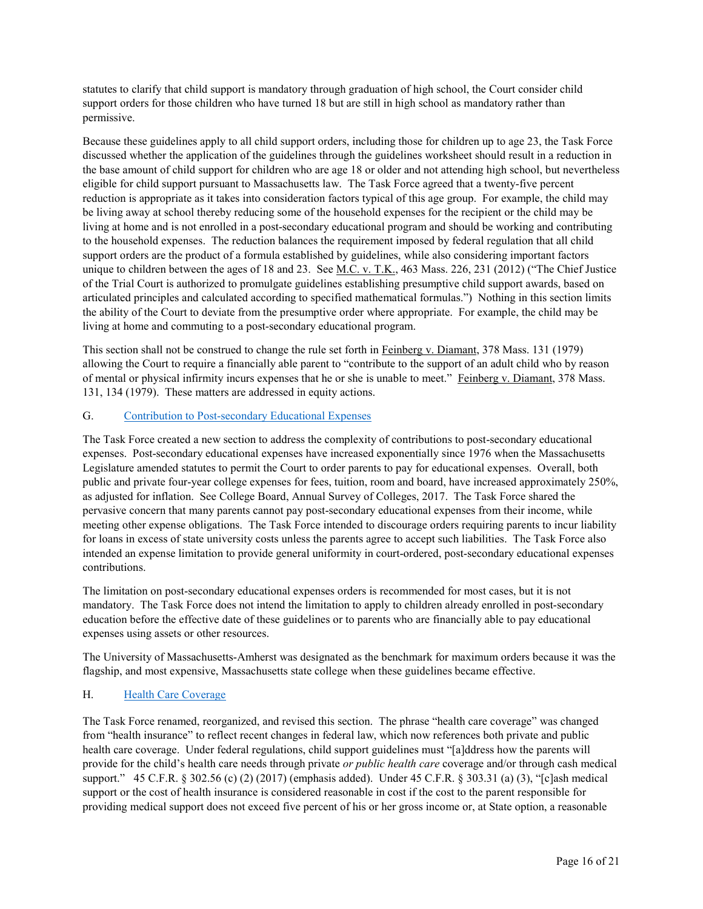statutes to clarify that child support is mandatory through graduation of high school, the Court consider child support orders for those children who have turned 18 but are still in high school as mandatory rather than permissive.

Because these guidelines apply to all child support orders, including those for children up to age 23, the Task Force discussed whether the application of the guidelines through the guidelines worksheet should result in a reduction in the base amount of child support for children who are age 18 or older and not attending high school, but nevertheless eligible for child support pursuant to Massachusetts law. The Task Force agreed that a twenty-five percent reduction is appropriate as it takes into consideration factors typical of this age group. For example, the child may be living away at school thereby reducing some of the household expenses for the recipient or the child may be living at home and is not enrolled in a post-secondary educational program and should be working and contributing to the household expenses. The reduction balances the requirement imposed by federal regulation that all child support orders are the product of a formula established by guidelines, while also considering important factors unique to children between the ages of 18 and 23. See M.C. v. T.K., 463 Mass. 226, 231 (2012) ("The Chief Justice of the Trial Court is authorized to promulgate guidelines establishing presumptive child support awards, based on articulated principles and calculated according to specified mathematical formulas.") Nothing in this section limits the ability of the Court to deviate from the presumptive order where appropriate. For example, the child may be living at home and commuting to a post-secondary educational program.

This section shall not be construed to change the rule set forth in Feinberg v. Diamant, 378 Mass. 131 (1979) allowing the Court to require a financially able parent to "contribute to the support of an adult child who by reason of mental or physical infirmity incurs expenses that he or she is unable to meet." Feinberg v. Diamant, 378 Mass. 131, 134 (1979). These matters are addressed in equity actions.

#### G. Contribution to Post-secondary Educational Expenses

The Task Force created a new section to address the complexity of contributions to post-secondary educational expenses. Post-secondary educational expenses have increased exponentially since 1976 when the Massachusetts Legislature amended statutes to permit the Court to order parents to pay for educational expenses. Overall, both public and private four-year college expenses for fees, tuition, room and board, have increased approximately 250%, as adjusted for inflation. See College Board, Annual Survey of Colleges, 2017. The Task Force shared the pervasive concern that many parents cannot pay post-secondary educational expenses from their income, while meeting other expense obligations. The Task Force intended to discourage orders requiring parents to incur liability for loans in excess of state university costs unless the parents agree to accept such liabilities. The Task Force also intended an expense limitation to provide general uniformity in court-ordered, post-secondary educational expenses contributions.

The limitation on post-secondary educational expenses orders is recommended for most cases, but it is not mandatory. The Task Force does not intend the limitation to apply to children already enrolled in post-secondary education before the effective date of these guidelines or to parents who are financially able to pay educational expenses using assets or other resources.

The University of Massachusetts-Amherst was designated as the benchmark for maximum orders because it was the flagship, and most expensive, Massachusetts state college when these guidelines became effective.

### H. Health Care Coverage

The Task Force renamed, reorganized, and revised this section. The phrase "health care coverage" was changed from "health insurance" to reflect recent changes in federal law, which now references both private and public health care coverage. Under federal regulations, child support guidelines must "[a]ddress how the parents will provide for the child's health care needs through private *or public health care* coverage and/or through cash medical support." 45 C.F.R. § 302.56 (c) (2) (2017) (emphasis added). Under 45 C.F.R. § 303.31 (a) (3), "[c]ash medical support or the cost of health insurance is considered reasonable in cost if the cost to the parent responsible for providing medical support does not exceed five percent of his or her gross income or, at State option, a reasonable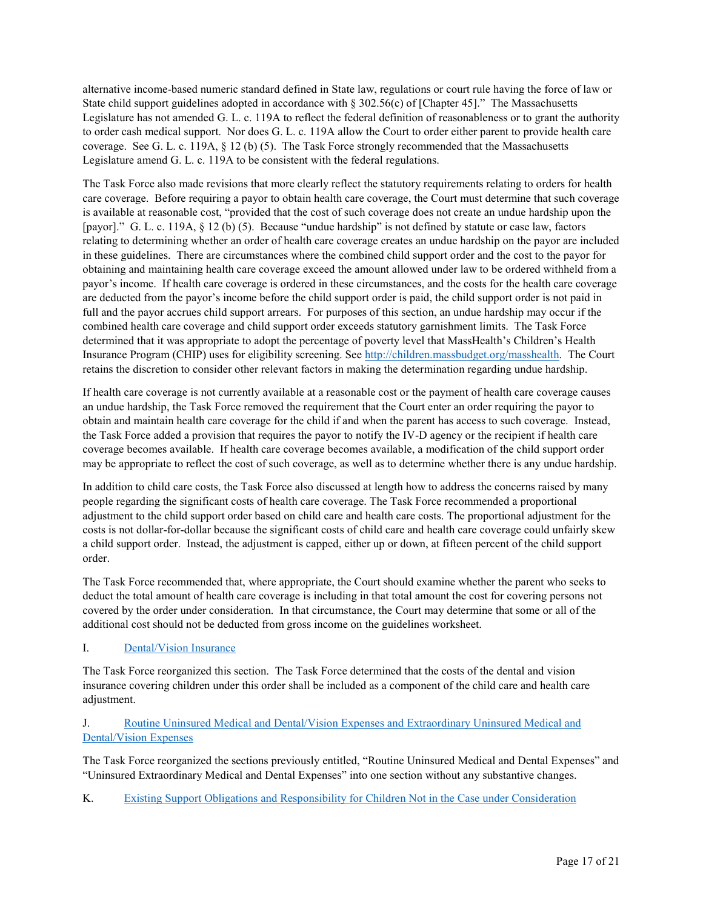alternative income-based numeric standard defined in State law, regulations or court rule having the force of law or State child support guidelines adopted in accordance with § 302.56(c) of [Chapter 45]." The Massachusetts Legislature has not amended G. L. c. 119A to reflect the federal definition of reasonableness or to grant the authority to order cash medical support. Nor does G. L. c. 119A allow the Court to order either parent to provide health care coverage. See G. L. c. 119A, § 12 (b) (5). The Task Force strongly recommended that the Massachusetts Legislature amend G. L. c. 119A to be consistent with the federal regulations.

The Task Force also made revisions that more clearly reflect the statutory requirements relating to orders for health care coverage. Before requiring a payor to obtain health care coverage, the Court must determine that such coverage is available at reasonable cost, "provided that the cost of such coverage does not create an undue hardship upon the [payor]." G. L. c. 119A, § 12 (b) (5). Because "undue hardship" is not defined by statute or case law, factors relating to determining whether an order of health care coverage creates an undue hardship on the payor are included in these guidelines. There are circumstances where the combined child support order and the cost to the payor for obtaining and maintaining health care coverage exceed the amount allowed under law to be ordered withheld from a payor's income. If health care coverage is ordered in these circumstances, and the costs for the health care coverage are deducted from the payor's income before the child support order is paid, the child support order is not paid in full and the payor accrues child support arrears. For purposes of this section, an undue hardship may occur if the combined health care coverage and child support order exceeds statutory garnishment limits. The Task Force determined that it was appropriate to adopt the percentage of poverty level that MassHealth's Children's Health Insurance Program (CHIP) uses for eligibility screening. See [http://children.massbudget.org/masshealth.](http://children.massbudget.org/masshealth) The Court retains the discretion to consider other relevant factors in making the determination regarding undue hardship.

If health care coverage is not currently available at a reasonable cost or the payment of health care coverage causes an undue hardship, the Task Force removed the requirement that the Court enter an order requiring the payor to obtain and maintain health care coverage for the child if and when the parent has access to such coverage. Instead, the Task Force added a provision that requires the payor to notify the IV-D agency or the recipient if health care coverage becomes available. If health care coverage becomes available, a modification of the child support order may be appropriate to reflect the cost of such coverage, as well as to determine whether there is any undue hardship.

In addition to child care costs, the Task Force also discussed at length how to address the concerns raised by many people regarding the significant costs of health care coverage. The Task Force recommended a proportional adjustment to the child support order based on child care and health care costs. The proportional adjustment for the costs is not dollar-for-dollar because the significant costs of child care and health care coverage could unfairly skew a child support order. Instead, the adjustment is capped, either up or down, at fifteen percent of the child support order.

The Task Force recommended that, where appropriate, the Court should examine whether the parent who seeks to deduct the total amount of health care coverage is including in that total amount the cost for covering persons not covered by the order under consideration. In that circumstance, the Court may determine that some or all of the additional cost should not be deducted from gross income on the guidelines worksheet.

### I. Dental/Vision Insurance

The Task Force reorganized this section. The Task Force determined that the costs of the dental and vision insurance covering children under this order shall be included as a component of the child care and health care adjustment.

### J. Routine Uninsured Medical and Dental/Vision Expenses and Extraordinary Uninsured Medical and Dental/Vision Expenses

The Task Force reorganized the sections previously entitled, "Routine Uninsured Medical and Dental Expenses" and "Uninsured Extraordinary Medical and Dental Expenses" into one section without any substantive changes.

K. Existing Support Obligations and Responsibility for Children Not in the Case under Consideration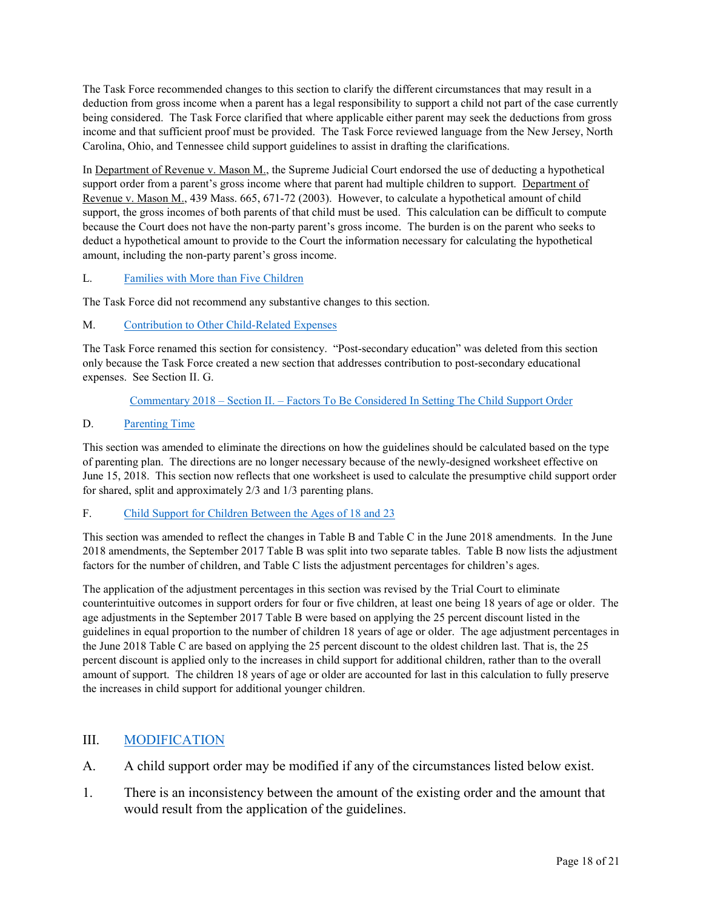The Task Force recommended changes to this section to clarify the different circumstances that may result in a deduction from gross income when a parent has a legal responsibility to support a child not part of the case currently being considered. The Task Force clarified that where applicable either parent may seek the deductions from gross income and that sufficient proof must be provided. The Task Force reviewed language from the New Jersey, North Carolina, Ohio, and Tennessee child support guidelines to assist in drafting the clarifications.

In Department of Revenue v. Mason M., the Supreme Judicial Court endorsed the use of deducting a hypothetical support order from a parent's gross income where that parent had multiple children to support. Department of Revenue v. Mason M., 439 Mass. 665, 671-72 (2003). However, to calculate a hypothetical amount of child support, the gross incomes of both parents of that child must be used. This calculation can be difficult to compute because the Court does not have the non-party parent's gross income. The burden is on the parent who seeks to deduct a hypothetical amount to provide to the Court the information necessary for calculating the hypothetical amount, including the non-party parent's gross income.

### L. Families with More than Five Children

The Task Force did not recommend any substantive changes to this section.

#### M. Contribution to Other Child-Related Expenses

The Task Force renamed this section for consistency. "Post-secondary education" was deleted from this section only because the Task Force created a new section that addresses contribution to post-secondary educational expenses. See Section II. G.

#### Commentary 2018 – Section II. – Factors To Be Considered In Setting The Child Support Order

#### D. Parenting Time

This section was amended to eliminate the directions on how the guidelines should be calculated based on the type of parenting plan. The directions are no longer necessary because of the newly-designed worksheet effective on June 15, 2018. This section now reflects that one worksheet is used to calculate the presumptive child support order for shared, split and approximately 2/3 and 1/3 parenting plans.

#### F. Child Support for Children Between the Ages of 18 and 23

This section was amended to reflect the changes in Table B and Table C in the June 2018 amendments. In the June 2018 amendments, the September 2017 Table B was split into two separate tables. Table B now lists the adjustment factors for the number of children, and Table C lists the adjustment percentages for children's ages.

The application of the adjustment percentages in this section was revised by the Trial Court to eliminate counterintuitive outcomes in support orders for four or five children, at least one being 18 years of age or older. The age adjustments in the September 2017 Table B were based on applying the 25 percent discount listed in the guidelines in equal proportion to the number of children 18 years of age or older. The age adjustment percentages in the June 2018 Table C are based on applying the 25 percent discount to the oldest children last. That is, the 25 percent discount is applied only to the increases in child support for additional children, rather than to the overall amount of support. The children 18 years of age or older are accounted for last in this calculation to fully preserve the increases in child support for additional younger children.

### III. MODIFICATION

- A. A child support order may be modified if any of the circumstances listed below exist.
- 1. There is an inconsistency between the amount of the existing order and the amount that would result from the application of the guidelines.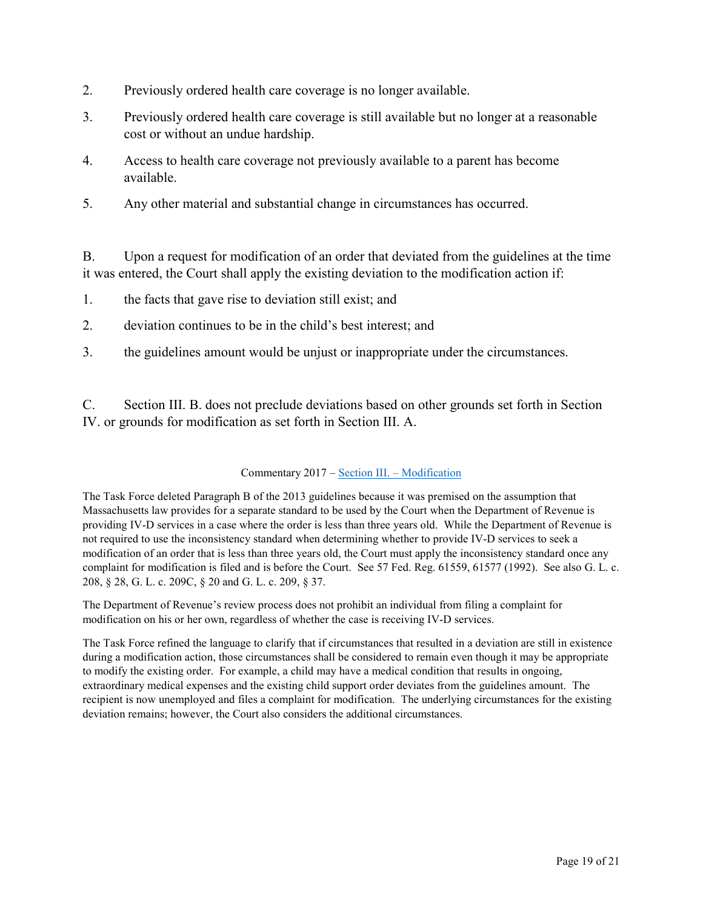- 2. Previously ordered health care coverage is no longer available.
- 3. Previously ordered health care coverage is still available but no longer at a reasonable cost or without an undue hardship.
- 4. Access to health care coverage not previously available to a parent has become available.
- 5. Any other material and substantial change in circumstances has occurred.

B. Upon a request for modification of an order that deviated from the guidelines at the time it was entered, the Court shall apply the existing deviation to the modification action if:

- 1. the facts that gave rise to deviation still exist; and
- 2. deviation continues to be in the child's best interest; and
- 3. the guidelines amount would be unjust or inappropriate under the circumstances.

C. Section III. B. does not preclude deviations based on other grounds set forth in Section IV. or grounds for modification as set forth in Section III. A.

### Commentary 2017 – Section III. – Modification

The Task Force deleted Paragraph B of the 2013 guidelines because it was premised on the assumption that Massachusetts law provides for a separate standard to be used by the Court when the Department of Revenue is providing IV-D services in a case where the order is less than three years old. While the Department of Revenue is not required to use the inconsistency standard when determining whether to provide IV-D services to seek a modification of an order that is less than three years old, the Court must apply the inconsistency standard once any complaint for modification is filed and is before the Court. See 57 Fed. Reg. 61559, 61577 (1992). See also G. L. c. 208, § 28, G. L. c. 209C, § 20 and G. L. c. 209, § 37.

The Department of Revenue's review process does not prohibit an individual from filing a complaint for modification on his or her own, regardless of whether the case is receiving IV-D services.

The Task Force refined the language to clarify that if circumstances that resulted in a deviation are still in existence during a modification action, those circumstances shall be considered to remain even though it may be appropriate to modify the existing order. For example, a child may have a medical condition that results in ongoing, extraordinary medical expenses and the existing child support order deviates from the guidelines amount. The recipient is now unemployed and files a complaint for modification. The underlying circumstances for the existing deviation remains; however, the Court also considers the additional circumstances.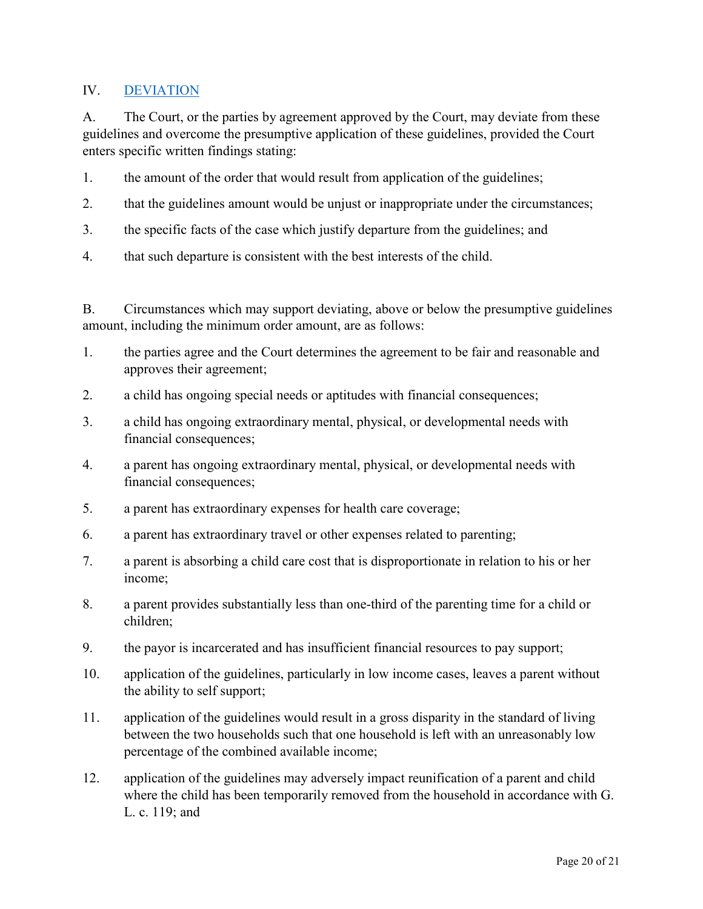### IV. DEVIATION

A. The Court, or the parties by agreement approved by the Court, may deviate from these guidelines and overcome the presumptive application of these guidelines, provided the Court enters specific written findings stating:

- 1. the amount of the order that would result from application of the guidelines;
- 2. that the guidelines amount would be unjust or inappropriate under the circumstances;
- 3. the specific facts of the case which justify departure from the guidelines; and
- 4. that such departure is consistent with the best interests of the child.

B. Circumstances which may support deviating, above or below the presumptive guidelines amount, including the minimum order amount, are as follows:

- 1. the parties agree and the Court determines the agreement to be fair and reasonable and approves their agreement;
- 2. a child has ongoing special needs or aptitudes with financial consequences;
- 3. a child has ongoing extraordinary mental, physical, or developmental needs with financial consequences;
- 4. a parent has ongoing extraordinary mental, physical, or developmental needs with financial consequences;
- 5. a parent has extraordinary expenses for health care coverage;
- 6. a parent has extraordinary travel or other expenses related to parenting;
- 7. a parent is absorbing a child care cost that is disproportionate in relation to his or her income;
- 8. a parent provides substantially less than one-third of the parenting time for a child or children;
- 9. the payor is incarcerated and has insufficient financial resources to pay support;
- 10. application of the guidelines, particularly in low income cases, leaves a parent without the ability to self support;
- 11. application of the guidelines would result in a gross disparity in the standard of living between the two households such that one household is left with an unreasonably low percentage of the combined available income;
- 12. application of the guidelines may adversely impact reunification of a parent and child where the child has been temporarily removed from the household in accordance with G. L. c. 119; and